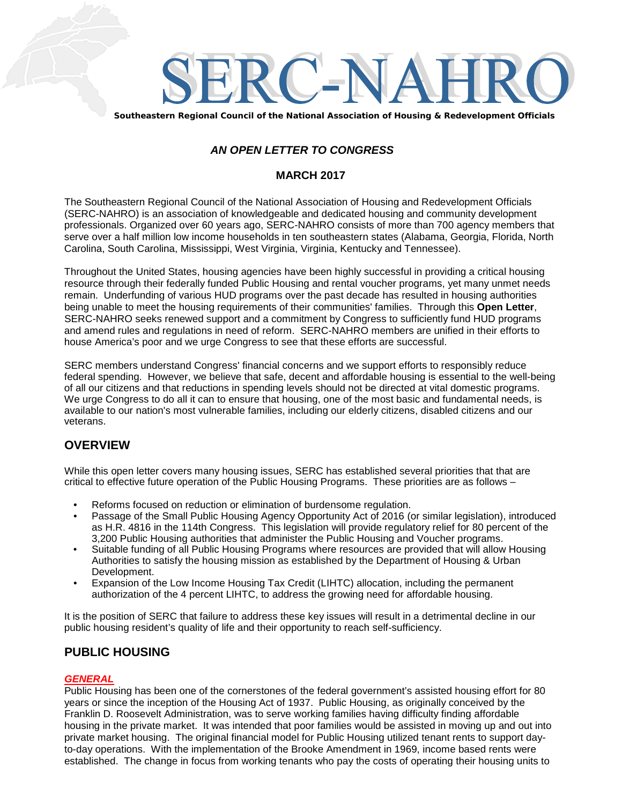

**Southeastern Regional Council of the National Association of Housing & Redevelopment Officials**

## *AN OPEN LETTER TO CONGRESS*

## **MARCH 2017**

The Southeastern Regional Council of the National Association of Housing and Redevelopment Officials (SERC-NAHRO) is an association of knowledgeable and dedicated housing and community development professionals. Organized over 60 years ago, SERC-NAHRO consists of more than 700 agency members that serve over a half million low income households in ten southeastern states (Alabama, Georgia, Florida, North Carolina, South Carolina, Mississippi, West Virginia, Virginia, Kentucky and Tennessee).

Throughout the United States, housing agencies have been highly successful in providing a critical housing resource through their federally funded Public Housing and rental voucher programs, yet many unmet needs remain. Underfunding of various HUD programs over the past decade has resulted in housing authorities being unable to meet the housing requirements of their communities' families. Through this **Open Letter**, SERC-NAHRO seeks renewed support and a commitment by Congress to sufficiently fund HUD programs and amend rules and regulations in need of reform. SERC-NAHRO members are unified in their efforts to house America's poor and we urge Congress to see that these efforts are successful.

SERC members understand Congress' financial concerns and we support efforts to responsibly reduce federal spending. However, we believe that safe, decent and affordable housing is essential to the well-being of all our citizens and that reductions in spending levels should not be directed at vital domestic programs. We urge Congress to do all it can to ensure that housing, one of the most basic and fundamental needs, is available to our nation's most vulnerable families, including our elderly citizens, disabled citizens and our veterans.

# **OVERVIEW**

While this open letter covers many housing issues, SERC has established several priorities that that are critical to effective future operation of the Public Housing Programs. These priorities are as follows –

- Reforms focused on reduction or elimination of burdensome regulation.
- Passage of the Small Public Housing Agency Opportunity Act of 2016 (or similar legislation), introduced as H.R. 4816 in the 114th Congress. This legislation will provide regulatory relief for 80 percent of the 3,200 Public Housing authorities that administer the Public Housing and Voucher programs.
- Suitable funding of all Public Housing Programs where resources are provided that will allow Housing Authorities to satisfy the housing mission as established by the Department of Housing & Urban Development.
- Expansion of the Low Income Housing Tax Credit (LIHTC) allocation, including the permanent authorization of the 4 percent LIHTC, to address the growing need for affordable housing.

It is the position of SERC that failure to address these key issues will result in a detrimental decline in our public housing resident's quality of life and their opportunity to reach self-sufficiency.

# **PUBLIC HOUSING**

#### *GENERAL*

Public Housing has been one of the cornerstones of the federal government's assisted housing effort for 80 years or since the inception of the Housing Act of 1937. Public Housing, as originally conceived by the Franklin D. Roosevelt Administration, was to serve working families having difficulty finding affordable housing in the private market. It was intended that poor families would be assisted in moving up and out into private market housing. The original financial model for Public Housing utilized tenant rents to support dayto-day operations. With the implementation of the Brooke Amendment in 1969, income based rents were established. The change in focus from working tenants who pay the costs of operating their housing units to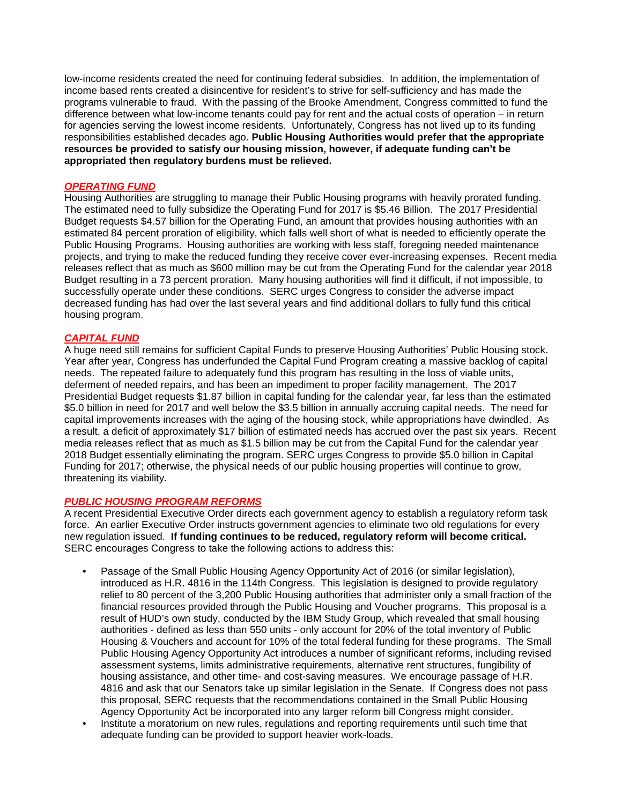low-income residents created the need for continuing federal subsidies. In addition, the implementation of income based rents created a disincentive for resident's to strive for self-sufficiency and has made the programs vulnerable to fraud. With the passing of the Brooke Amendment, Congress committed to fund the difference between what low-income tenants could pay for rent and the actual costs of operation – in return for agencies serving the lowest income residents. Unfortunately, Congress has not lived up to its funding responsibilities established decades ago. **Public Housing Authorities would prefer that the appropriate resources be provided to satisfy our housing mission, however, if adequate funding can't be appropriated then regulatory burdens must be relieved.**

#### *OPERATING FUND*

Housing Authorities are struggling to manage their Public Housing programs with heavily prorated funding. The estimated need to fully subsidize the Operating Fund for 2017 is \$5.46 Billion. The 2017 Presidential Budget requests \$4.57 billion for the Operating Fund, an amount that provides housing authorities with an estimated 84 percent proration of eligibility, which falls well short of what is needed to efficiently operate the Public Housing Programs. Housing authorities are working with less staff, foregoing needed maintenance projects, and trying to make the reduced funding they receive cover ever-increasing expenses. Recent media releases reflect that as much as \$600 million may be cut from the Operating Fund for the calendar year 2018 Budget resulting in a 73 percent proration. Many housing authorities will find it difficult, if not impossible, to successfully operate under these conditions. SERC urges Congress to consider the adverse impact decreased funding has had over the last several years and find additional dollars to fully fund this critical housing program.

## *CAPITAL FUND*

A huge need still remains for sufficient Capital Funds to preserve Housing Authorities' Public Housing stock. Year after year, Congress has underfunded the Capital Fund Program creating a massive backlog of capital needs. The repeated failure to adequately fund this program has resulting in the loss of viable units, deferment of needed repairs, and has been an impediment to proper facility management. The 2017 Presidential Budget requests \$1.87 billion in capital funding for the calendar year, far less than the estimated \$5.0 billion in need for 2017 and well below the \$3.5 billion in annually accruing capital needs. The need for capital improvements increases with the aging of the housing stock, while appropriations have dwindled. As a result, a deficit of approximately \$17 billion of estimated needs has accrued over the past six years. Recent media releases reflect that as much as \$1.5 billion may be cut from the Capital Fund for the calendar year 2018 Budget essentially eliminating the program. SERC urges Congress to provide \$5.0 billion in Capital Funding for 2017; otherwise, the physical needs of our public housing properties will continue to grow, threatening its viability.

#### *PUBLIC HOUSING PROGRAM REFORMS*

A recent Presidential Executive Order directs each government agency to establish a regulatory reform task force. An earlier Executive Order instructs government agencies to eliminate two old regulations for every new regulation issued. **If funding continues to be reduced, regulatory reform will become critical.** SERC encourages Congress to take the following actions to address this:

- Passage of the Small Public Housing Agency Opportunity Act of 2016 (or similar legislation), introduced as H.R. 4816 in the 114th Congress. This legislation is designed to provide regulatory relief to 80 percent of the 3,200 Public Housing authorities that administer only a small fraction of the financial resources provided through the Public Housing and Voucher programs. This proposal is a result of HUD's own study, conducted by the IBM Study Group, which revealed that small housing authorities - defined as less than 550 units - only account for 20% of the total inventory of Public Housing & Vouchers and account for 10% of the total federal funding for these programs. The Small Public Housing Agency Opportunity Act introduces a number of significant reforms, including revised assessment systems, limits administrative requirements, alternative rent structures, fungibility of housing assistance, and other time- and cost-saving measures. We encourage passage of H.R. 4816 and ask that our Senators take up similar legislation in the Senate. If Congress does not pass this proposal, SERC requests that the recommendations contained in the Small Public Housing Agency Opportunity Act be incorporated into any larger reform bill Congress might consider.
- Institute a moratorium on new rules, regulations and reporting requirements until such time that adequate funding can be provided to support heavier work-loads.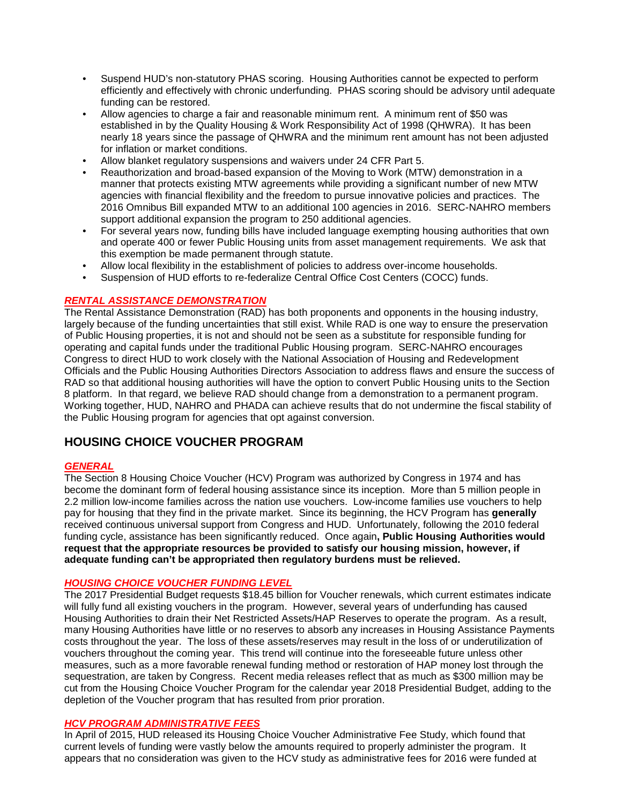- Suspend HUD's non-statutory PHAS scoring. Housing Authorities cannot be expected to perform efficiently and effectively with chronic underfunding. PHAS scoring should be advisory until adequate funding can be restored.
- Allow agencies to charge a fair and reasonable minimum rent. A minimum rent of \$50 was established in by the Quality Housing & Work Responsibility Act of 1998 (QHWRA). It has been nearly 18 years since the passage of QHWRA and the minimum rent amount has not been adjusted for inflation or market conditions.
- Allow blanket regulatory suspensions and waivers under 24 CFR Part 5.
- Reauthorization and broad-based expansion of the Moving to Work (MTW) demonstration in a manner that protects existing MTW agreements while providing a significant number of new MTW agencies with financial flexibility and the freedom to pursue innovative policies and practices. The 2016 Omnibus Bill expanded MTW to an additional 100 agencies in 2016. SERC-NAHRO members support additional expansion the program to 250 additional agencies.
- For several years now, funding bills have included language exempting housing authorities that own and operate 400 or fewer Public Housing units from asset management requirements. We ask that this exemption be made permanent through statute.
- Allow local flexibility in the establishment of policies to address over-income households.
- Suspension of HUD efforts to re-federalize Central Office Cost Centers (COCC) funds.

## *RENTAL ASSISTANCE DEMONSTRATION*

The Rental Assistance Demonstration (RAD) has both proponents and opponents in the housing industry, largely because of the funding uncertainties that still exist. While RAD is one way to ensure the preservation of Public Housing properties, it is not and should not be seen as a substitute for responsible funding for operating and capital funds under the traditional Public Housing program. SERC-NAHRO encourages Congress to direct HUD to work closely with the National Association of Housing and Redevelopment Officials and the Public Housing Authorities Directors Association to address flaws and ensure the success of RAD so that additional housing authorities will have the option to convert Public Housing units to the Section 8 platform. In that regard, we believe RAD should change from a demonstration to a permanent program. Working together, HUD, NAHRO and PHADA can achieve results that do not undermine the fiscal stability of the Public Housing program for agencies that opt against conversion.

# **HOUSING CHOICE VOUCHER PROGRAM**

#### *GENERAL*

The Section 8 Housing Choice Voucher (HCV) Program was authorized by Congress in 1974 and has become the dominant form of federal housing assistance since its inception. More than 5 million people in 2.2 million low-income families across the nation use vouchers. Low-income families use vouchers to help pay for housing that they find in the private market. Since its beginning, the HCV Program has **generally** received continuous universal support from Congress and HUD. Unfortunately, following the 2010 federal funding cycle, assistance has been significantly reduced. Once again**, Public Housing Authorities would request that the appropriate resources be provided to satisfy our housing mission, however, if adequate funding can't be appropriated then regulatory burdens must be relieved.**

## *HOUSING CHOICE VOUCHER FUNDING LEVEL*

The 2017 Presidential Budget requests \$18.45 billion for Voucher renewals, which current estimates indicate will fully fund all existing vouchers in the program. However, several years of underfunding has caused Housing Authorities to drain their Net Restricted Assets/HAP Reserves to operate the program. As a result, many Housing Authorities have little or no reserves to absorb any increases in Housing Assistance Payments costs throughout the year. The loss of these assets/reserves may result in the loss of or underutilization of vouchers throughout the coming year. This trend will continue into the foreseeable future unless other measures, such as a more favorable renewal funding method or restoration of HAP money lost through the sequestration, are taken by Congress. Recent media releases reflect that as much as \$300 million may be cut from the Housing Choice Voucher Program for the calendar year 2018 Presidential Budget, adding to the depletion of the Voucher program that has resulted from prior proration.

## *HCV PROGRAM ADMINISTRATIVE FEES*

In April of 2015, HUD released its Housing Choice Voucher Administrative Fee Study, which found that current levels of funding were vastly below the amounts required to properly administer the program. It appears that no consideration was given to the HCV study as administrative fees for 2016 were funded at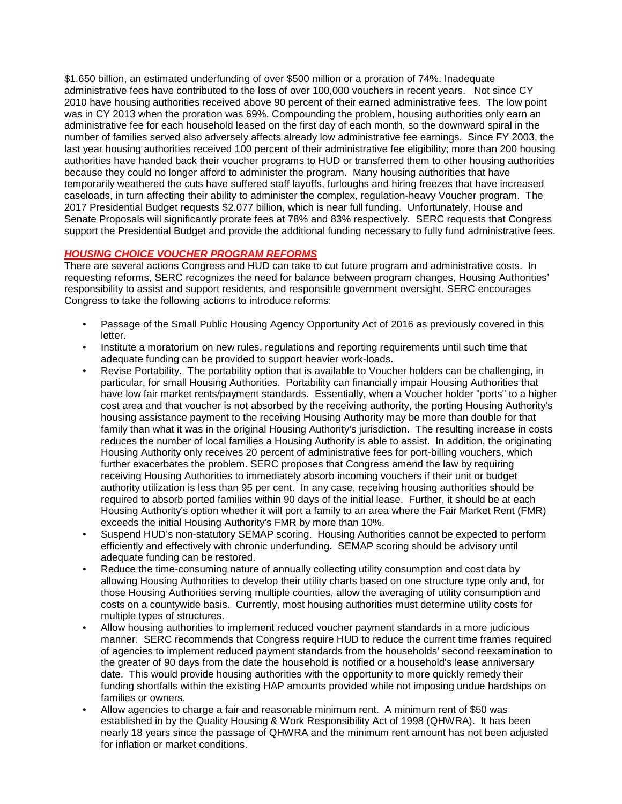\$1.650 billion, an estimated underfunding of over \$500 million or a proration of 74%. Inadequate administrative fees have contributed to the loss of over 100,000 vouchers in recent years. Not since CY 2010 have housing authorities received above 90 percent of their earned administrative fees. The low point was in CY 2013 when the proration was 69%. Compounding the problem, housing authorities only earn an administrative fee for each household leased on the first day of each month, so the downward spiral in the number of families served also adversely affects already low administrative fee earnings. Since FY 2003, the last year housing authorities received 100 percent of their administrative fee eligibility; more than 200 housing authorities have handed back their voucher programs to HUD or transferred them to other housing authorities because they could no longer afford to administer the program. Many housing authorities that have temporarily weathered the cuts have suffered staff layoffs, furloughs and hiring freezes that have increased caseloads, in turn affecting their ability to administer the complex, regulation-heavy Voucher program. The 2017 Presidential Budget requests \$2.077 billion, which is near full funding. Unfortunately, House and Senate Proposals will significantly prorate fees at 78% and 83% respectively. SERC requests that Congress support the Presidential Budget and provide the additional funding necessary to fully fund administrative fees.

## *HOUSING CHOICE VOUCHER PROGRAM REFORMS*

There are several actions Congress and HUD can take to cut future program and administrative costs. In requesting reforms, SERC recognizes the need for balance between program changes, Housing Authorities' responsibility to assist and support residents, and responsible government oversight. SERC encourages Congress to take the following actions to introduce reforms:

- Passage of the Small Public Housing Agency Opportunity Act of 2016 as previously covered in this letter.
- Institute a moratorium on new rules, regulations and reporting requirements until such time that adequate funding can be provided to support heavier work-loads.
- Revise Portability. The portability option that is available to Voucher holders can be challenging, in particular, for small Housing Authorities. Portability can financially impair Housing Authorities that have low fair market rents/payment standards. Essentially, when a Voucher holder "ports" to a higher cost area and that voucher is not absorbed by the receiving authority, the porting Housing Authority's housing assistance payment to the receiving Housing Authority may be more than double for that family than what it was in the original Housing Authority's jurisdiction. The resulting increase in costs reduces the number of local families a Housing Authority is able to assist. In addition, the originating Housing Authority only receives 20 percent of administrative fees for port-billing vouchers, which further exacerbates the problem. SERC proposes that Congress amend the law by requiring receiving Housing Authorities to immediately absorb incoming vouchers if their unit or budget authority utilization is less than 95 per cent. In any case, receiving housing authorities should be required to absorb ported families within 90 days of the initial lease. Further, it should be at each Housing Authority's option whether it will port a family to an area where the Fair Market Rent (FMR) exceeds the initial Housing Authority's FMR by more than 10%.
- Suspend HUD's non-statutory SEMAP scoring. Housing Authorities cannot be expected to perform efficiently and effectively with chronic underfunding. SEMAP scoring should be advisory until adequate funding can be restored.
- Reduce the time-consuming nature of annually collecting utility consumption and cost data by allowing Housing Authorities to develop their utility charts based on one structure type only and, for those Housing Authorities serving multiple counties, allow the averaging of utility consumption and costs on a countywide basis. Currently, most housing authorities must determine utility costs for multiple types of structures.
- Allow housing authorities to implement reduced voucher payment standards in a more judicious manner. SERC recommends that Congress require HUD to reduce the current time frames required of agencies to implement reduced payment standards from the households' second reexamination to the greater of 90 days from the date the household is notified or a household's lease anniversary date. This would provide housing authorities with the opportunity to more quickly remedy their funding shortfalls within the existing HAP amounts provided while not imposing undue hardships on families or owners.
- Allow agencies to charge a fair and reasonable minimum rent. A minimum rent of \$50 was established in by the Quality Housing & Work Responsibility Act of 1998 (QHWRA). It has been nearly 18 years since the passage of QHWRA and the minimum rent amount has not been adjusted for inflation or market conditions.